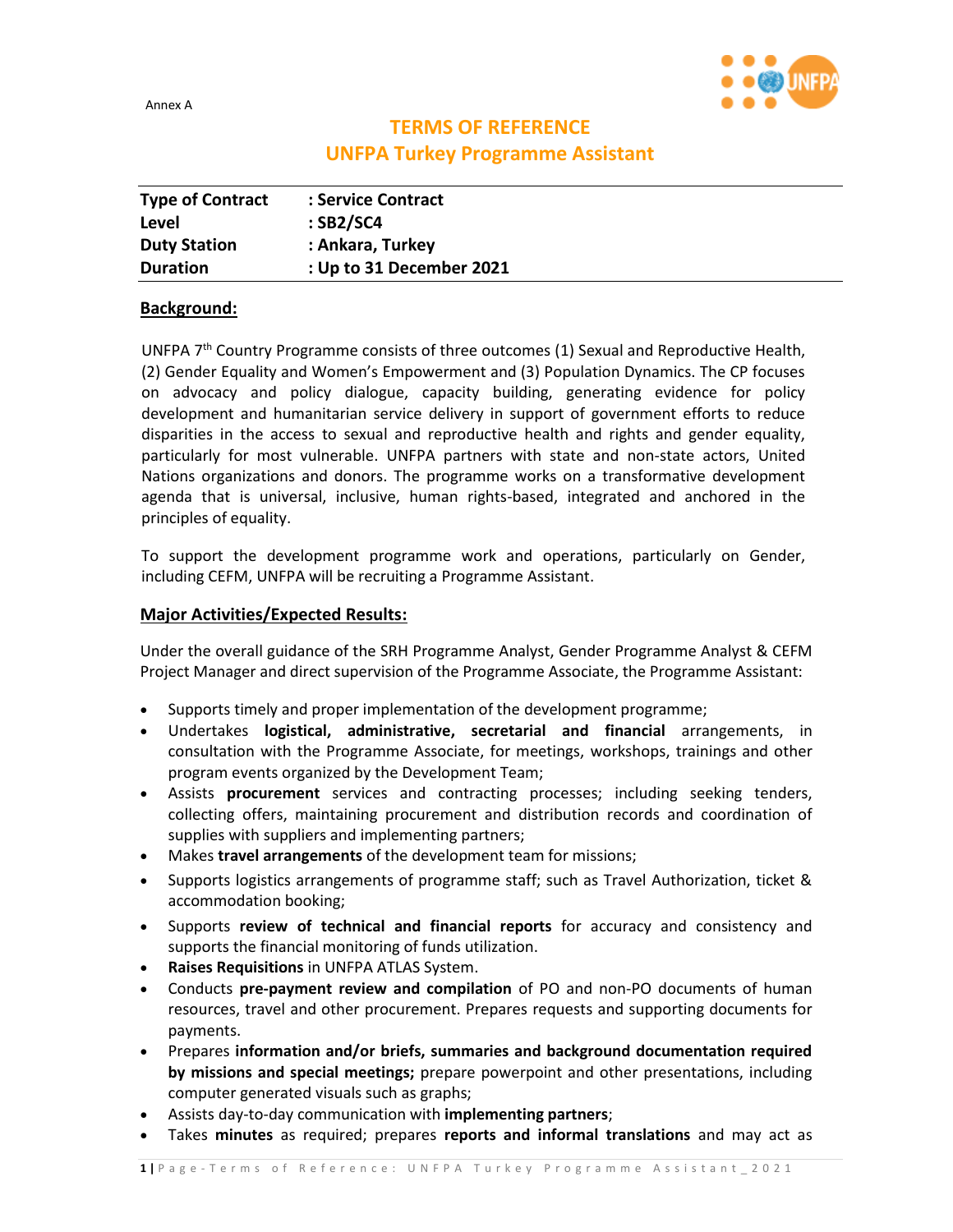Annex A



# **TERMS OF REFERENCE UNFPA Turkey Programme Assistant**

| <b>Type of Contract</b> | : Service Contract       |
|-------------------------|--------------------------|
| Level                   | $:$ SB2/SC4              |
| <b>Duty Station</b>     | : Ankara, Turkey         |
| <b>Duration</b>         | : Up to 31 December 2021 |

### **Background:**

UNFPA 7<sup>th</sup> Country Programme consists of three outcomes (1) Sexual and Reproductive Health, (2) Gender Equality and Women's Empowerment and (3) Population Dynamics. The CP focuses on advocacy and policy dialogue, capacity building, generating evidence for policy development and humanitarian service delivery in support of government efforts to reduce disparities in the access to sexual and reproductive health and rights and gender equality, particularly for most vulnerable. UNFPA partners with state and non-state actors, United Nations organizations and donors. The programme works on a transformative development agenda that is universal, inclusive, human rights-based, integrated and anchored in the principles of equality.

To support the development programme work and operations, particularly on Gender, including CEFM, UNFPA will be recruiting a Programme Assistant.

## **Major Activities/Expected Results:**

Under the overall guidance of the SRH Programme Analyst, Gender Programme Analyst & CEFM Project Manager and direct supervision of the Programme Associate, the Programme Assistant:

- Supports timely and proper implementation of the development programme;
- Undertakes **logistical, administrative, secretarial and financial** arrangements, in consultation with the Programme Associate, for meetings, workshops, trainings and other program events organized by the Development Team;
- Assists **procurement** services and contracting processes; including seeking tenders, collecting offers, maintaining procurement and distribution records and coordination of supplies with suppliers and implementing partners;
- Makes **travel arrangements** of the development team for missions;
- Supports logistics arrangements of programme staff; such as Travel Authorization, ticket & accommodation booking;
- Supports **review of technical and financial reports** for accuracy and consistency and supports the financial monitoring of funds utilization.
- **Raises Requisitions** in UNFPA ATLAS System.
- Conducts **pre-payment review and compilation** of PO and non-PO documents of human resources, travel and other procurement. Prepares requests and supporting documents for payments.
- Prepares **information and/or briefs, summaries and background documentation required by missions and special meetings;** prepare powerpoint and other presentations, including computer generated visuals such as graphs;
- Assists day-to-day communication with **implementing partners**;
- Takes **minutes** as required; prepares **reports and informal translations** and may act as